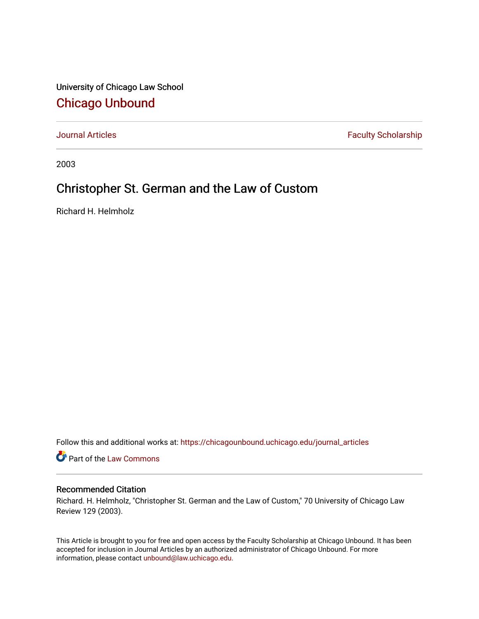University of Chicago Law School [Chicago Unbound](https://chicagounbound.uchicago.edu/)

[Journal Articles](https://chicagounbound.uchicago.edu/journal_articles) **Faculty Scholarship Faculty Scholarship** 

2003

# Christopher St. German and the Law of Custom

Richard H. Helmholz

Follow this and additional works at: [https://chicagounbound.uchicago.edu/journal\\_articles](https://chicagounbound.uchicago.edu/journal_articles?utm_source=chicagounbound.uchicago.edu%2Fjournal_articles%2F1487&utm_medium=PDF&utm_campaign=PDFCoverPages) 

Part of the [Law Commons](http://network.bepress.com/hgg/discipline/578?utm_source=chicagounbound.uchicago.edu%2Fjournal_articles%2F1487&utm_medium=PDF&utm_campaign=PDFCoverPages)

# Recommended Citation

Richard. H. Helmholz, "Christopher St. German and the Law of Custom," 70 University of Chicago Law Review 129 (2003).

This Article is brought to you for free and open access by the Faculty Scholarship at Chicago Unbound. It has been accepted for inclusion in Journal Articles by an authorized administrator of Chicago Unbound. For more information, please contact [unbound@law.uchicago.edu](mailto:unbound@law.uchicago.edu).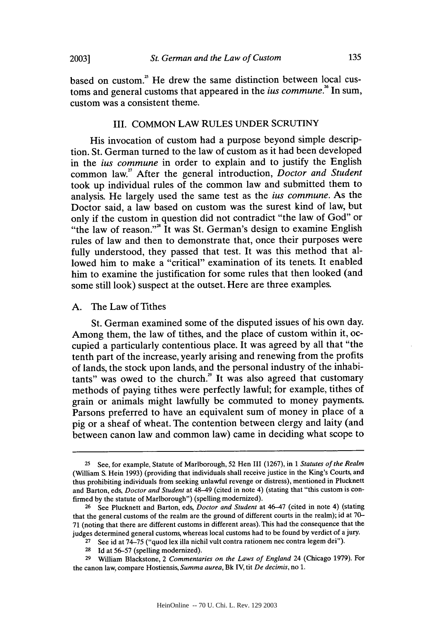based on custom.<sup>25</sup> He drew the same distinction between local customs and general customs that appeared in the *ius commune."* In sum, custom was a consistent theme.

## III. COMMON LAW RULES UNDER SCRUTINY

His invocation of custom had a purpose beyond simple description. St. German turned to the law of custom as it had been developed in the *ius commune* in order to explain and to justify the English common law.27 After the general introduction, *Doctor and Student* took up individual rules of the common law and submitted them to analysis. He largely used the same test as the *ius commune.* As the Doctor said, a law based on custom was the surest kind of law, but only if the custom in question did not contradict "the law of God" or "the law of reason."" It was St. German's design to examine English rules of law and then to demonstrate that, once their purposes were fully understood, they passed that test. It was this method that allowed him to make a "critical" examination of its tenets. It enabled him to examine the justification for some rules that then looked (and some still look) suspect at the outset. Here are three examples.

## A. The Law of Tithes

St. German examined some of the disputed issues of his own day. Among them, the law of tithes, and the place of custom within it, occupied a particularly contentious place. It was agreed by all that "the tenth part of the increase, yearly arising and renewing from the profits of lands, the stock upon lands, and the personal industry of the inhabitants" was owed to the church." It was also agreed that customary methods of paying tithes were perfectly lawful; for example, tithes of grain or animals might lawfully be commuted to money payments. Parsons preferred to have an equivalent sum of money in place of a pig or a sheaf of wheat. The contention between clergy and laity (and between canon law and common law) came in deciding what scope to

**<sup>25</sup>**See, for example, Statute of Marlborough, 52 Hen III (1267), in 1 *Statutes of the Realm* (William S. Hein 1993) (providing that individuals shall receive justice in the King's Courts, and thus prohibiting individuals from seeking unlawful revenge or distress), mentioned in Plucknett and Barton, eds, *Doctor and Student* at 48-49 (cited in note 4) (stating that "this custom is confirmed by the statute of Marlborough") (spelling modernized).

<sup>&</sup>lt;sup>26</sup> See Plucknett and Barton, eds, *Doctor and Student* at 46-47 (cited in note 4) (stating that the general customs of the realm are the ground of different courts in the realm); id at 70- 71 (noting that there are different customs in different areas). This had the consequence that the judges determined general customs, whereas local customs had to be found by verdict of a jury.

 $27$  See id at 74-75 ("quod lex illa nichil vult contra rationem nec contra legem dei").

**<sup>28</sup>**Id at 56-57 (spelling modernized).

<sup>29</sup>William Blackstone, 2 *Commentaries on the Laws of England* 24 (Chicago 1979). For the canon law, compare Hostiensis, *Summa aurea,* Bk IV, tit *De decimis,* no 1.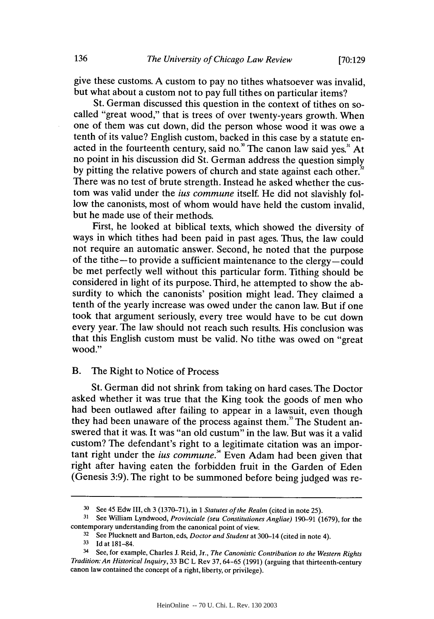give these customs. A custom to pay no tithes whatsoever was invalid, but what about a custom not to pay full tithes on particular items?

St. German discussed this question in the context of tithes on socalled "great wood," that is trees of over twenty-years growth. When one of them was cut down, did the person whose wood it was owe a tenth of its value? English custom, backed in this case by a statute enacted in the fourteenth century, said no.<sup>30</sup> The canon law said yes.<sup>31</sup> At no point in his discussion did St. German address the question simply by pitting the relative powers of church and state against each other.<sup>3</sup> There was no test of brute strength. Instead he asked whether the custom was valid under the *ius commune* itself. He did not slavishly follow the canonists, most of whom would have held the custom invalid, but he made use of their methods.

First, he looked at biblical texts, which showed the diversity of ways in which tithes had been paid in past ages. Thus, the law could not require an automatic answer. Second, he noted that the purpose of the tithe-to provide a sufficient maintenance to the clergy-could be met perfectly well without this particular form. Tithing should be considered in light of its purpose. Third, he attempted to show the absurdity to which the canonists' position might lead. They claimed a tenth of the yearly increase was owed under the canon law. But if one took that argument seriously, every tree would have to be cut down every year. The law should not reach such results. His conclusion was that this English custom must be valid. No tithe was owed on "great wood."

## B. The Right to Notice of Process

St. German did not shrink from taking on hard cases. The Doctor asked whether it was true that the King took the goods of men who had been outlawed after failing to appear in a lawsuit, even though they had been unaware of the process against them." The Student answered that it was. It was "an old custum" in the law. But was it a valid custom? The defendant's right to a legitimate citation was an important right under the *ius commune*.<sup>4</sup> Even Adam had been given that right after having eaten the forbidden fruit in the Garden of Eden (Genesis 3:9). The right to be summoned before being judged was re-

<sup>30</sup>See 45 Edw III, ch 3 (1370-71), in 1 *Statutes of the Realm* (cited in note 25).

<sup>&</sup>lt;sup>31</sup> See William Lyndwood, *Provinciale (seu Constitutiones Angliae)* 190-91 (1679), for the contemporary understanding from the canonical point of view.

<sup>&</sup>lt;sup>32</sup> See Plucknett and Barton, eds, *Doctor and Student* at 300–14 (cited in note 4).

**<sup>33</sup> Id** at 181-84.

<sup>34</sup> See, for example, Charles J. Reid, Jr., *The Canonistic Contribution to the Western Rights Tradition:An Historical Inquiry,* 33 BC L Rev 37, 64-65 (1991) (arguing that thirteenth-century canon law contained the concept of a right, liberty, or privilege).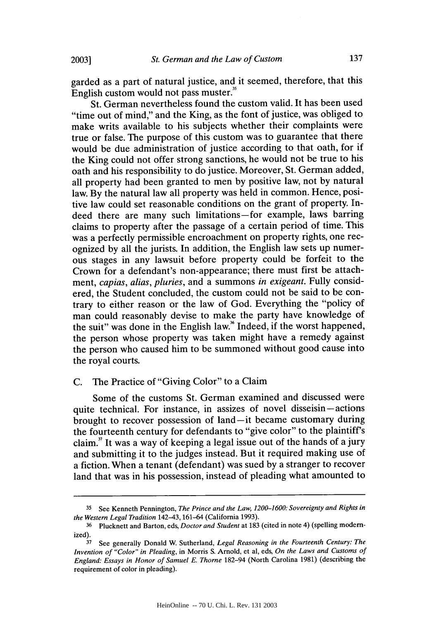garded as a part of natural justice, and it seemed, therefore, that this

English custom would not pass muster.<sup>35</sup> St. German nevertheless found the custom valid. It has been used "time out of mind," and the King, as the font of justice, was obliged to make writs available to his subjects whether their complaints were true or false. The purpose of this custom was to guarantee that there would be due administration of justice according to that oath, for if the King could not offer strong sanctions, he would not be true to his oath and his responsibility to do justice. Moreover, St. German added, all property had been granted to men by positive law, not by natural law. By the natural law all property was held in common. Hence, positive law could set reasonable conditions on the grant of property. Indeed there are many such limitations-for example, laws barring claims to property after the passage of a certain period of time. This was a perfectly permissible encroachment on property rights, one recognized by all the jurists. In addition, the English law sets up numerous stages in any lawsuit before property could be forfeit to the Crown for a defendant's non-appearance; there must first be attachment, *capias, alias, pluries,* and a summons *in exigeant.* Fully considered, the Student concluded, the custom could not be said to be contrary to either reason or the law of God. Everything the "policy of man could reasonably devise to make the party have knowledge of the suit" was done in the English law." Indeed, if the worst happened, the person whose property was taken might have a remedy against the person who caused him to be summoned without good cause into the royal courts.

# C. The Practice of "Giving Color" to a Claim

Some of the customs St. German examined and discussed were quite technical. For instance, in assizes of novel disseisin-actions brought to recover possession of land-it became customary during the fourteenth century for defendants to "give color" to the plaintiff's claim." It was a way of keeping a legal issue out of the hands of a jury and submitting it to the judges instead. But it required making use of a fiction. When a tenant (defendant) was sued by a stranger to recover land that was in his possession, instead of pleading what amounted to

<sup>&</sup>lt;sup>35</sup> See Kenneth Pennington, *The Prince and the Law, 1200-1600: Sovereignty and Rights in the Western Legal Tradition* 142-43,161-64 (California 1993).

<sup>36</sup> Plucknett and Barton, eds, *Doctor and Student* at 183 (cited in note 4) (spelling modernized).

**<sup>37</sup>**See generally Donald W. Sutherland, *Legal Reasoning in the Fourteenth Century: The Invention of "Color" in Pleading,* in Morris **S.** Arnold, et al, eds, *On the Laws and Customs of England: Essays in Honor of Samuel E. Thorne* 182-94 (North Carolina 1981) (describing the requirement of color in pleading).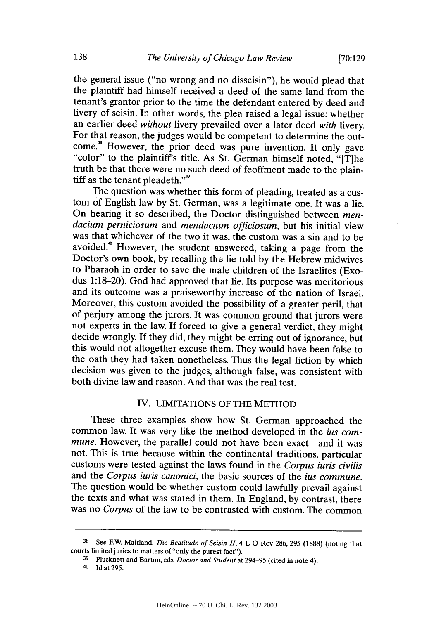**[70:129**

the general issue ("no wrong and no disseisin"), he would plead that the plaintiff had himself received a deed of the same land from the tenant's grantor prior to the time the defendant entered by deed and livery of seisin. In other words, the plea raised a legal issue: whether an earlier deed *without* livery prevailed over a later deed *with* livery. For that reason, the judges would be competent to determine the out-<br>come.<sup>38</sup> However, the prior deed was pure invention. It only gave "color" to the plaintiff's title. As St. German himself noted, "[T]he truth be that there were no such deed of feoffment made to the plaintiff as the tenant pleadeth."<sup>39</sup>

The question was whether this form of pleading, treated as a custom of English law by St. German, was a legitimate one. It was a lie. On hearing it so described, the Doctor distinguished between *mendacium perniciosum* and *mendacium officiosum,* but his initial view was that whichever of the two it was, the custom was a sin and to be avoided." However, the student answered, taking a page from the Doctor's own book, by recalling the lie told by the Hebrew midwives to Pharaoh in order to save the male children of the Israelites (Exodus 1:18-20). God had approved that lie. Its purpose was meritorious and its outcome was a praiseworthy increase of the nation of Israel. Moreover, this custom avoided the possibility of a greater peril, that of perjury among the jurors. It was common ground that jurors were not experts in the law. If forced to give a general verdict, they might decide wrongly. If they did, they might be erring out of ignorance, but this would not altogether excuse them. They would have been false to the oath they had taken nonetheless. Thus the legal fiction by which decision was given to the judges, although false, was consistent with both divine law and reason. And that was the real test.

#### IV. LIMITATIONS OF THE METHOD

These three examples show how St. German approached the common law. It was very like the method developed in the *ius commune*. However, the parallel could not have been exact—and it was not. This is true because within the continental traditions, particular customs were tested against the laws found in the *Corpus iuris civilis* and the *Corpus iuris canonici,* the basic sources of the *ius commune.* The question would be whether custom could lawfully prevail against the texts and what was stated in them. In England, by contrast, there was no *Corpus* of the law to be contrasted with custom. The common

**<sup>38</sup>**See EW. Maitland, *The Beatitude of Seisin* 11, 4 L Q Rev 286, 295 (1888) (noting that courts limited juries to matters of "only the purest fact").

<sup>&</sup>lt;sup>39</sup> Plucknett and Barton, eds, *Doctor and Student* at 294–95 (cited in note 4).

<sup>40</sup> Id at 295.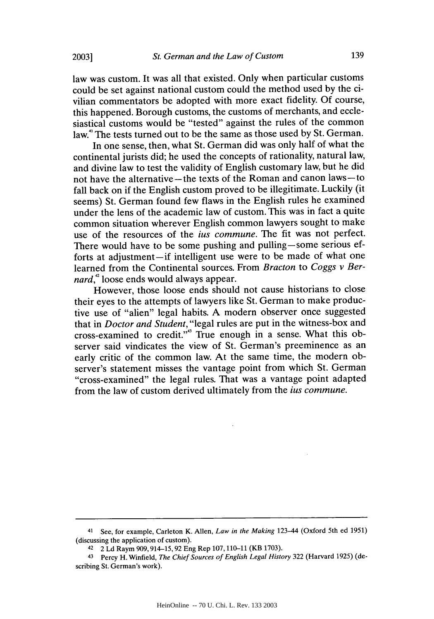law was custom. It was all that existed. Only when particular customs could be set against national custom could the method used by the civilian commentators be adopted with more exact fidelity. Of course, this happened. Borough customs, the customs of merchants, and ecclesiastical customs would be "tested" against the rules of the common law.<sup>41</sup> The tests turned out to be the same as those used by St. German.

In one sense, then, what St. German did was only half of what the continental jurists did; he used the concepts of rationality, natural law, and divine law to test the validity of English customary law, but he did not have the alternative-the texts of the Roman and canon laws-to fall back on if the English custom proved to be illegitimate. Luckily (it seems) St. German found few flaws in the English rules he examined under the lens of the academic law of custom. This was in fact a quite common situation wherever English common lawyers sought to make use of the resources of the ius *commune.* The fit was not perfect. There would have to be some pushing and pulling-some serious efforts at adjustment-if intelligent use were to be made of what one learned from the Continental sources. From *Bracton* to *Coggs v Bernard,"* loose ends would always appear.

However, those loose ends should not cause historians to close their eyes to the attempts of lawyers like St. German to make productive use of "alien" legal habits. A modern observer once suggested that in *Doctor and Student,* "legal rules are put in the witness-box and cross-examined to credit."<sup>3</sup> True enough in a sense. What this observer said vindicates the view of St. German's preeminence as an early critic of the common law. At the same time, the modern observer's statement misses the vantage point from which St. German "cross-examined" the legal rules. That was a vantage point adapted from the law of custom derived ultimately from the ius *commune.*

<sup>&</sup>lt;sup>41</sup> See, for example, Carleton K. Allen, *Law in the Making* 123-44 (Oxford 5th ed 1951) (discussing the application of custom).

<sup>42</sup>2 Ld Raym 909,914-15,92 Eng Rep 107,110-11 (KB 1703).

<sup>43</sup> Percy H. Winfield, *The Chief Sources of English Legal History* 322 (Harvard 1925) (describing St. German's work).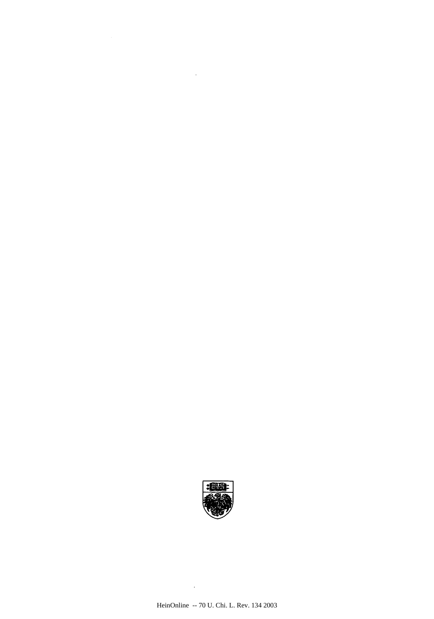

l,

 $\sim$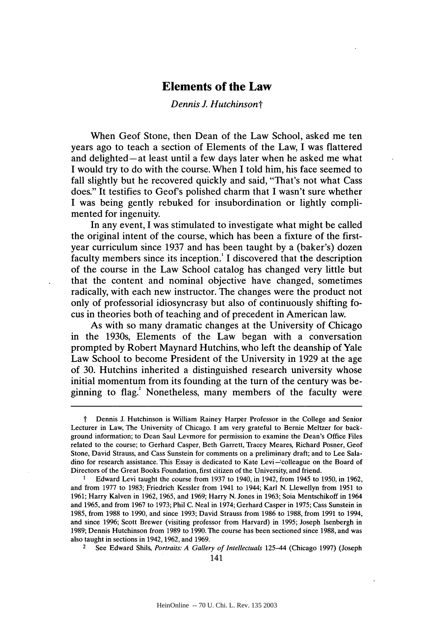# **Elements of the Law**

#### *Dennis J. Hutchinsont*

When Geof Stone, then Dean of the Law School, asked me ten years ago to teach a section of Elements of the Law, I was flattered and delighted-at least until a few days later when he asked me what I would try to do with the course. When I told him, his face seemed to fall slightly but he recovered quickly and said, "That's not what Cass does." It testifies to Geof's polished charm that I wasn't sure whether I was being gently rebuked for insubordination or lightly complimented for ingenuity.

In any event, I was stimulated to investigate what might be called the original intent of the course, which has been a fixture of the firstyear curriculum since 1937 and has been taught by a (baker's) dozen faculty members since its inception.<sup>1</sup> I discovered that the description of the course in the Law School catalog has changed very little but that the content and nominal objective have changed, sometimes radically, with each new instructor. The changes were the product not only of professorial idiosyncrasy but also of continuously shifting focus in theories both of teaching and of precedent in American law.

As with so many dramatic changes at the University of Chicago in the 1930s, Elements of the Law began with a conversation prompted by Robert Maynard Hutchins, who left the deanship of Yale Law School to become President of the University in 1929 at the age of 30. Hutchins inherited a distinguished research university whose initial momentum from its founding at the turn of the century was beginning to flag.' Nonetheless, many members of the faculty were

t Dennis J. Hutchinson is William Rainey Harper Professor in the College and Senior Lecturer in Law, The University of Chicago. I am very grateful to Bernie Meltzer for background information; to Dean Saul Levmore for permission to examine the Dean's Office Files related to the course; to Gerhard Casper, Beth Garrett, Tracey Meares, Richard Posner, Geof Stone, David Strauss, and Cass Sunstein for comments on a preliminary draft; and to Lee Saladino for research assistance. This Essay is dedicated to Kate Levi-colleague on the Board of Directors of the Great Books Foundation, first citizen of the University, and friend.

<sup>&</sup>lt;sup>1</sup> Edward Levi taught the course from 1937 to 1940, in 1942, from 1945 to 1950, in 1962, and from 1977 to 1983; Friedrich Kessler from 1941 to 1944; Karl N. Llewellyn from 1951 to 1961; Harry Kalven in 1962, 1965, and 1969; Harry N. Jones in 1963; Soia Mentschikoff in 1964 and 1965, and from 1967 to 1973; Phil C. Neal in 1974; Gerhard Casper in 1975; Cass Sunstein in 1985, from 1988 to 1990, and since 1993; David Strauss from 1986 to 1988, from 1991 to 1994, and since 1996; Scott Brewer (visiting professor from Harvard) in 1995; Joseph Isenbergh in 1989; Dennis Hutchinson from 1989 to 1990. The course has been sectioned since 1988, and was also taught in sections in 1942, 1962, and 1969.

<sup>2</sup>See Edward Shils, *Portraits: A Gallery of Intellectuals* 125-44 (Chicago 1997) (Joseph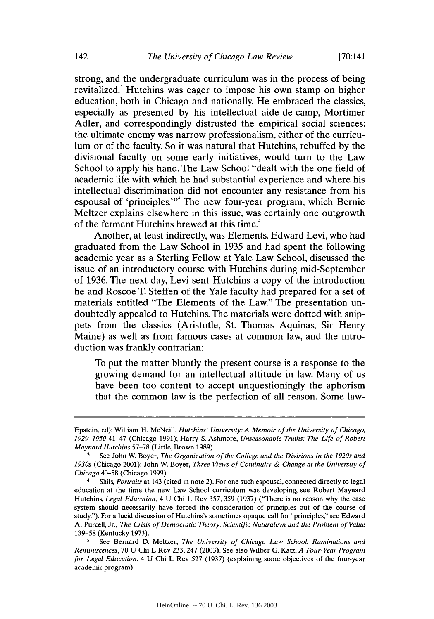**[70:141**

strong, and the undergraduate curriculum was in the process of being revitalized.<sup>3</sup> Hutchins was eager to impose his own stamp on higher education, both in Chicago and nationally. He embraced the classics, especially as presented **by** his intellectual aide-de-camp, Mortimer Adler, and correspondingly distrusted the empirical social sciences; the ultimate enemy was narrow professionalism, either of the curriculum or of the faculty. So it was natural that Hutchins, rebuffed **by** the divisional faculty on some early initiatives, would turn to the Law School to apply his hand. The Law School "dealt with the one field of academic life with which he had substantial experience and where his intellectual discrimination did not encounter any resistance from his espousal of 'principles."'" The new four-year program, which Bernie Meltzer explains elsewhere in this issue, was certainly one outgrowth of the ferment Hutchins brewed at this time.'

Another, at least indirectly, was Elements. Edward Levi, who had graduated from the Law School in **1935** and had spent the following academic year as a Sterling Fellow at Yale Law School, discussed the issue of an introductory course with Hutchins during mid-September of **1936.** The next day, Levi sent Hutchins a copy of the introduction he and Roscoe T. Steffen of the Yale faculty had prepared for a set of materials entitled "The Elements of the Law." The presentation undoubtedly appealed to Hutchins. The materials were dotted with snippets from the classics (Aristotle, St. Thomas Aquinas, Sir Henry Maine) as well as from famous cases at common law, and the introduction was frankly contrarian:

To put the matter bluntly the present course is a response to the growing demand for an intellectual attitude in law. Many of us have been too content to accept unquestioningly the aphorism that the common law is the perfection of all reason. Some law-

Epstein, ed); William H. McNeill, *Hutchins' University: A Memoir of the University of Chicago, 1929-1950* 41-47 (Chicago **1991);** Harry **S.** Ashmore, *Unseasonable Truths: The Life of Robert Maynard Hutchins* **57-78** (Little, Brown **1989).**

**<sup>3</sup>**See John W. Boyer, *The Organization of the College and the Divisions in the 1920s and 1930s* (Chicago 2001); John W. Boyer, *Three Views of Continuity & Change at the University of Chicago* 40-58 (Chicago **1999).**

**<sup>4</sup>**Shils, *Portraits* at 143 (cited in note 2). For one such espousal, connected directly to legal education at the time the new Law School curriculum was developing, see Robert Maynard Hutchins, *Legal Education,* 4 **U** Chi L Rev **357, 359 (1937)** ("There is no reason why the case system should necessarily have forced the consideration of principles out of the course of study."). For a lucid discussion of Hutchins's sometimes opaque call for "principles," see Edward **A.** Purcell, Jr., *The Crisis of Democratic Theory: Scientific Naturalism and the Problem of Value* **139-58** (Kentucky **1973).**

**<sup>5</sup>**See Bernard **D.** Meltzer, *The University of Chicago Law School: Ruminations and Reminiscences,* **70 U** Chi L Rev **233,** 247 **(2003).** See also Wilber **G.** Katz, *A Four-Year Program for Legal Education,* 4 **U** Chi L Rev **527 (1937)** (explaining some objectives of the four-year academic program).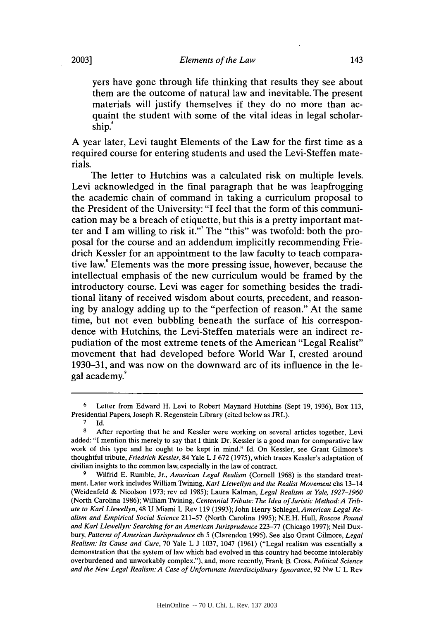yers have gone through life thinking that results they see about them are the outcome of natural law and inevitable. The present materials will justify themselves if they do no more than acquaint the student with some of the vital ideas in legal scholarship.'

**A** year later, Levi taught Elements of the Law for the first time as a required course for entering students and used the Levi-Steffen materials.

The letter to Hutchins was a calculated risk on multiple levels. Levi acknowledged in the final paragraph that he was leapfrogging the academic chain of command in taking a curriculum proposal to the President of the University: **"I** feel that the form of this communication may be a breach of etiquette, but this is a pretty important matter and **I** am willing to risk it."7 The "this" was twofold: both the proposal for the course and an addendum implicitly recommending Friedrich Kessler for an appointment to the law faculty to teach comparative law.<sup>8</sup> Elements was the more pressing issue, however, because the intellectual emphasis of the new curriculum would be framed **by** the introductory course. Levi was eager for something besides the traditional litany of received wisdom about courts, precedent, and reasoning **by** analogy adding up to the "perfection of reason." At the same time, but not even bubbling beneath the surface of his correspondence with Hutchins, the Levi-Steffen materials were an indirect repudiation of the most extreme tenets of the American "Legal Realist" movement that had developed before World War **I,** crested around **1930-31,** and was now on the downward arc of its influence in the legal academy.

**<sup>6</sup>** Letter from Edward H. Levi to Robert Maynard Hutchins (Sept 19, 1936), Box 113, Presidential Papers, Joseph R. Regenstein Library (cited below as JRL).

**<sup>7</sup>** Id.

**<sup>8</sup>** After reporting that he and Kessler were working on several articles together, Levi added: **"I** mention this merely to say that **I** think Dr. Kessler is a good man for comparative law work of this type and he ought to be kept in mind." Id. On Kessler, see Grant Gilmore's thoughtful tribute, *Friedrich Kessler,* 84 Yale L **J** 672 (1975), which traces Kessler's adaptation of civilian insights to the common law, especially in the law of contract.

**<sup>9</sup>** Wilfrid E. Rumble, Jr., *American Legal Realism* (Cornell 1968) is the standard treatment. Later work includes William Twining, *Karl Llewellyn and the Realist Movement* chs 13-14 (Weidenfeld **&** Nicolson **1973;** rev ed **1985);** Laura Kalman, *Legal Realism at Yale, 1927-1960* (North Carolina 1986); William Twining, *Centennial Tribute: The Idea of Juristic Method: A Tribute to Karl Llewellyn,* 48 U Miami L Rev 119 (1993); John Henry Schlegel, *American Legal Realism and Empirical Social Science* 211-57 (North Carolina 1995); N.E.H. Hull, *Roscoe Pound and Karl Llewellyn: Searching for an American Jurisprudence* 223-77 (Chicago 1997); Neil Duxbury, *Patterns of American Jurisprudence* ch 5 (Clarendon 1995). See also Grant Gilmore, *Legal Realism: Its Cause and Cure,* 70 Yale L **J** 1037, 1047 (1961) ("Legal realism was essentially a demonstration that the system of law which had evolved in this country had become intolerably overburdened and unworkably complex."), and, more recently, Frank B. Cross, *Political Science and the New Legal Realism: A Case of Unfortunate Interdisciplinary Ignorance,* 92 Nw U L Rev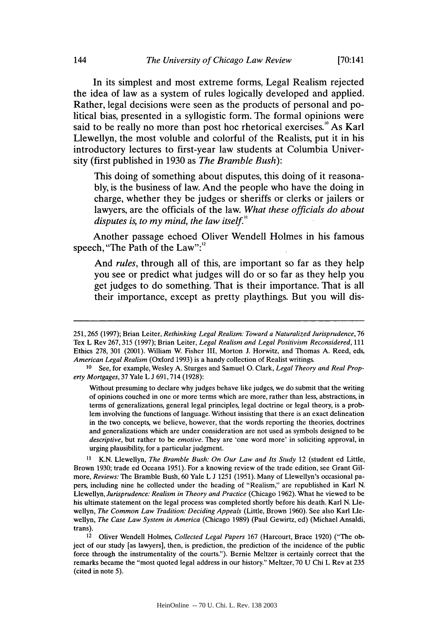In its simplest and most extreme forms, Legal Realism rejected the idea of law as a system of rules logically developed and applied. Rather, legal decisions were seen as the products of personal and political bias, presented in a syllogistic form. The formal opinions were said to be really no more than post hoc rhetorical exercises.<sup>10</sup> As Karl Llewellyn, the most voluble and colorful of the Realists, put it in his introductory lectures to first-year law students at Columbia University (first published in **1930** as *The Bramble Bush):*

This doing of something about disputes, this doing of it reasona**bly,** is the business of law. And the people who have the doing in charge, whether they be judges or sheriffs or clerks or jailers or lawyers, are the officials of the law. *What these officials do about disputes is, to my mind, the law itself."*

Another passage echoed Oliver Wendell Holmes in his famous speech, "The Path of the Law":"

And *rules,* through all of this, are important so far as they help you see or predict what judges will do or so far as they help you get judges to do something. That is their importance. That is all their importance, except as pretty playthings. But you will dis-

**11** K.N. Llewellyn, *The Bramble Bush: On Our Law and Its Study* 12 (student ed Little, Brown 1930; trade ed Oceana 1951). For a knowing review of the trade edition, see Grant Gilmore, *Reviews:* The Bramble Bush, 60 Yale L J 1251 (1951). Many of Llewellyn's occasional papers, including nine he collected under the heading of "Realism," are republished in Karl N. Llewellyn, *Jurisprudence: Realism in Theory and Practice* (Chicago 1962). What he viewed to be his ultimate statement on the legal process was completed shortly before his death. Karl N. Llewellyn, *The Common Law Tradition: Deciding Appeals* (Little, Brown 1960). See also Karl Llewellyn, *The Case Law System in America* (Chicago 1989) (Paul Gewirtz, ed) (Michael Ansaldi, trans).

12 Oliver Wendell Holmes, *Collected Legal Papers* 167 (Harcourt, Brace 1920) ("The object of our study [as lawyers], then, is prediction, the prediction of the incidence of the public force through the instrumentality of the courts."). Bernie Meltzer is certainly correct that the remarks became the "most quoted legal address in our history." Meltzer, 70 U Chi L Rev at 235 (cited in note 5).

**<sup>251,265</sup>** (1997); Brian Leiter, *Rethinking Legal Realism: Toward a Naturalized Jurisprudence, 76* Tex L Rev 267, 315 (1997); Brian Leiter, *Legal Realism and Legal Positivism Reconsidered,* 111 Ethics 278, 301 (2001). William W. Fisher III, Morton J. Horwitz, and Thomas A. Reed, eds, *American Legal Realism* (Oxford 1993) is a handy collection of Realist writings.

**<sup>10</sup>** See, for example, Wesley A. Sturges and Samuel **0.** Clark, *Legal Theory and Real Property Mortgages,* 37 Yale L J 691,714 (1928):

Without presuming to declare why judges behave like judges, we do submit that the writing of opinions couched in one or more terms which are more, rather than less, abstractions, in terms of generalizations, general legal principles, legal doctrine or legal theory, is a problem involving the functions of language. Without insisting that there is an exact delineation in the two concepts, we believe, however, that the words reporting the theories, doctrines and generalizations which are under consideration are not used as symbols designed to be *descriptive,* but rather to be *emotive.* They are 'one word more' in soliciting approval, in urging plausibility, for a particular judgment.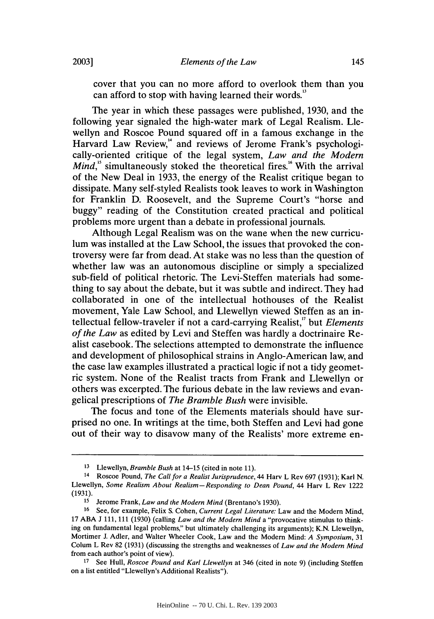cover that you can no more afford to overlook them than you can afford to stop with having learned their words.<sup>13</sup>

The year in which these passages were published, 1930, and the following year signaled the high-water mark of Legal Realism. Llewellyn and Roscoe Pound squared off in a famous exchange in the Harvard Law Review," and reviews of Jerome Frank's psychologically-oriented critique of the legal system, *Law and the Modern Mind*,<sup>15</sup> simultaneously stoked the theoretical fires.<sup>16</sup> With the arrival of the New Deal in 1933, the energy of the Realist critique began to dissipate. Many self-styled Realists took leaves to work in Washington for Franklin D. Roosevelt, and the Supreme Court's "horse and buggy" reading of the Constitution created practical and political problems more urgent than a debate in professional journals.

Although Legal Realism was on the wane when the new curriculum was installed at the Law School, the issues that provoked the controversy were far from dead. At stake was no less than the question of whether law was an autonomous discipline or simply a specialized sub-field of political rhetoric. The Levi-Steffen materials had something to say about the debate, but it was subtle and indirect. They had collaborated in one of the intellectual hothouses of the Realist movement, Yale Law School, and Llewellyn viewed Steffen as an intellectual fellow-traveler if not a card-carrying Realist,'7 but *Elements of the Law* as edited by Levi and Steffen was hardly a doctrinaire Realist casebook. The selections attempted to demonstrate the influence and development of philosophical strains in Anglo-American law, and the case law examples illustrated a practical logic if not a tidy geometric system. None of the Realist tracts from Frank and Llewellyn or others was excerpted. The furious debate in the law reviews and evangelical prescriptions of *The Bramble Bush* were invisible.

The focus and tone of the Elements materials should have surprised no one. In writings at the time, both Steffen and Levi had gone out of their way to disavow many of the Realists' more extreme en-

**<sup>13</sup>** Llewellyn, Bramble Bush at 14-15 (cited in note 11).

**<sup>14</sup>**Roscoe Pound, *The Call for a Realist Jurisprudence,* 44 Harv L Rev 697 (1931); Karl N. Llewellyn, *Some Realism About Realism-Responding to Dean Pound,* 44 Harv L Rev 1222 (1931).

**<sup>15</sup>**Jerome Frank, *Law and the Modern Mind* (Brentano's 1930).

**<sup>16</sup>**See, for example, Felix **S.** Cohen, *Current Legal Literature:* Law and the Modem Mind, 17 ABA J 111, 111 (1930) (calling *Law and the Modern Mind* a "provocative stimulus to thinking on fundamental legal problems," but ultimately challenging its arguments); K.N. Llewelyn, Mortimer J. Adler, and Walter Wheeler Cook, Law and the Modem Mind: *A Symposium,* 31 Colum L Rev 82 (1931) (discussing the strengths and weaknesses of *Law and the Modern Mind* from each author's point of view).

**<sup>17</sup>**See Hull, *Roscoe Pound and Karl Llewellyn* at 346 (cited in note 9) (including Steffen on a list entitled "Llewellyn's Additional Realists").